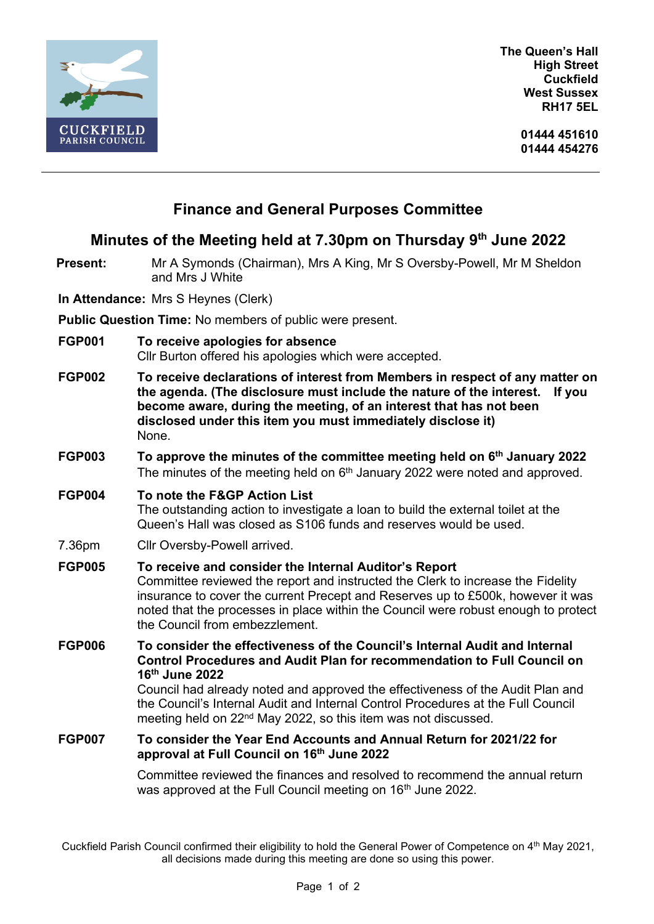

**The Queen's Hall High Street Cuckfield West Sussex RH17 5EL**

> **01444 451610 01444 454276**

# **Finance and General Purposes Committee**

## **Minutes of the Meeting held at 7.30pm on Thursday 9 th June 2022**

**Present:** Mr A Symonds (Chairman), Mrs A King, Mr S Oversby-Powell, Mr M Sheldon and Mrs J White

**In Attendance:** Mrs S Heynes (Clerk)

**Public Question Time:** No members of public were present.

- **FGP001 To receive apologies for absence** Cllr Burton offered his apologies which were accepted.
- **FGP002 To receive declarations of interest from Members in respect of any matter on the agenda. (The disclosure must include the nature of the interest. If you become aware, during the meeting, of an interest that has not been disclosed under this item you must immediately disclose it)** None.
- **FGP003 To approve the minutes of the committee meeting held on 6 th January 2022** The minutes of the meeting held on 6<sup>th</sup> January 2022 were noted and approved.

#### **FGP004 To note the F&GP Action List**

The outstanding action to investigate a loan to build the external toilet at the Queen's Hall was closed as S106 funds and reserves would be used.

7.36pm Cllr Oversby-Powell arrived.

### **FGP005 To receive and consider the Internal Auditor's Report**

Committee reviewed the report and instructed the Clerk to increase the Fidelity insurance to cover the current Precept and Reserves up to £500k, however it was noted that the processes in place within the Council were robust enough to protect the Council from embezzlement.

**FGP006 To consider the effectiveness of the Council's Internal Audit and Internal Control Procedures and Audit Plan for recommendation to Full Council on 16th June 2022** Council had already noted and approved the effectiveness of the Audit Plan and the Council's Internal Audit and Internal Control Procedures at the Full Council meeting held on 22<sup>nd</sup> May 2022, so this item was not discussed.

#### **FGP007 To consider the Year End Accounts and Annual Return for 2021/22 for approval at Full Council on 16th June 2022**

Committee reviewed the finances and resolved to recommend the annual return was approved at the Full Council meeting on 16<sup>th</sup> June 2022.

Cuckfield Parish Council confirmed their eligibility to hold the General Power of Competence on 4th May 2021, all decisions made during this meeting are done so using this power.